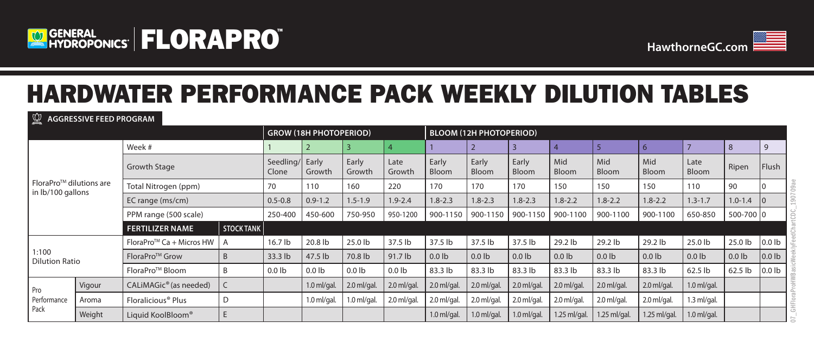



# HARDWATER PERFORMANCE PACK WEEKLY DILUTION TABLES

**AGGRESSIVE FEED PROGRAM**

|                                                           |        |                                      |                          | <b>GROW (18H PHOTOPERIOD)</b> |                   |                   |                       | <b>BLOOM (12H PHOTOPERIOD)</b> |                       |                     |                     |                     |               |               |                   |                   |
|-----------------------------------------------------------|--------|--------------------------------------|--------------------------|-------------------------------|-------------------|-------------------|-----------------------|--------------------------------|-----------------------|---------------------|---------------------|---------------------|---------------|---------------|-------------------|-------------------|
|                                                           |        | Week #                               |                          |                               |                   |                   |                       |                                |                       |                     |                     | 6                   |               | 8             | 9                 |                   |
|                                                           |        | <b>Growth Stage</b>                  | Seedling/ Early<br>Clone | Growth                        | Early<br>Growth   | Late<br>Growth    | Early<br><b>Bloom</b> | Early<br><b>Bloom</b>          | Early<br><b>Bloom</b> | Mid<br><b>Bloom</b> | Mid<br><b>Bloom</b> | Mid<br><b>Bloom</b> | Late<br>Bloom | Ripen         | Flush             |                   |
| FloraPro <sup>TM</sup> dilutions are<br>in lb/100 gallons |        | Total Nitrogen (ppm)                 | 70                       | 110                           | 160               | 220               | 170                   | 170                            | 170                   | 150                 | 150                 | 150                 | 110           | 90            |                   |                   |
|                                                           |        | EC range (ms/cm)                     | $0.5 - 0.8$              | $0.9 - 1.2$                   | $1.5 - 1.9$       | $1.9 - 2.4$       | $1.8 - 2.3$           | $1.8 - 2.3$                    | $1.8 - 2.3$           | $1.8 - 2.2$         | $1.8 - 2.2$         | $1.8 - 2.2$         | $1.3 - 1.7$   | $1.0 - 1.4$   |                   |                   |
|                                                           |        | PPM range (500 scale)                |                          | 250-400                       | 450-600           | 750-950           | 950-1200              | 900-1150                       | 900-1150              | 900-1150            | 900-1100            | 900-1100            | 900-1100      | 650-850       | 500-700 0         |                   |
|                                                           |        | <b>FERTILIZER NAME</b>               | <b>STOCK TANK</b>        |                               |                   |                   |                       |                                |                       |                     |                     |                     |               |               |                   |                   |
|                                                           |        | FloraPro <sup>™</sup> Ca + Micros HW |                          | 16.7 lb                       | 20.8 lb           | 25.0 lb           | 37.5 lb               | 37.5 lb                        | 37.5 lb               | 37.5 lb             | 29.2 lb             | 29.2 lb             | 29.2 lb       | 25.0 lb       | 25.0 lb           | 0.0 <sub>lb</sub> |
| 1:100<br><b>Dilution Ratio</b>                            |        | FloraPro <sup>™</sup> Grow           | B                        | 33.3 lb                       | 47.5 lb           | 70.8 lb           | 91.7 lb               | 0.0 <sub>lb</sub>              | $0.0$ lb              | 0.0 <sub>1b</sub>   | $0.0$ lb            | $0.0$ lb            | $0.0$ lb      | $0.0$ lb      | 0.0 <sub>1b</sub> | 0.0 <sub>lb</sub> |
|                                                           |        | FloraPro <sup>™</sup> Bloom          | -B                       | 0.0 <sub>1b</sub>             | 0.0 <sub>1b</sub> | 0.0 <sub>1b</sub> | 0.0 <sub>1b</sub>     | 83.3 lb                        | 83.3 lb               | 83.3 lb             | 83.3 lb             | 83.3 lb             | 83.3 lb       | 62.5 lb       | 62.5 lb           | 0.0 <sub>lb</sub> |
| Pro<br>Performance<br>Pack                                | Vigour | CALIMAGic <sup>®</sup> (as needed)   |                          |                               | $1.0$ ml/gal.     | $2.0$ ml/gal.     | $2.0$ ml/gal.         | $2.0$ ml/gal.                  | $2.0$ ml/gal.         | $2.0$ ml/gal.       | $2.0$ ml/gal.       | $2.0$ ml/gal.       | $2.0$ ml/gal. | $1.0$ ml/gal. |                   |                   |
|                                                           | Aroma  | Floralicious <sup>®</sup> Plus       | D                        |                               | $1.0$ ml/gal.     | $1.0$ ml/gal.     | $2.0$ ml/gal.         | $2.0$ ml/gal.                  | 2.0 ml/gal.           | $2.0$ ml/gal.       | $2.0$ ml/gal.       | $2.0$ ml/gal.       | $2.0$ ml/gal. | $1.3$ ml/gal. |                   |                   |
|                                                           | Weight | E<br>Liquid KoolBloom <sup>®</sup>   |                          |                               |                   |                   |                       | $1.0$ ml/gal.                  | $1.0$ ml/gal.         | $1.0$ ml/gal.       | 1.25 ml/gal.        | 1.25 ml/gal.        | 1.25 ml/gal.  | $1.0$ ml/gal. |                   |                   |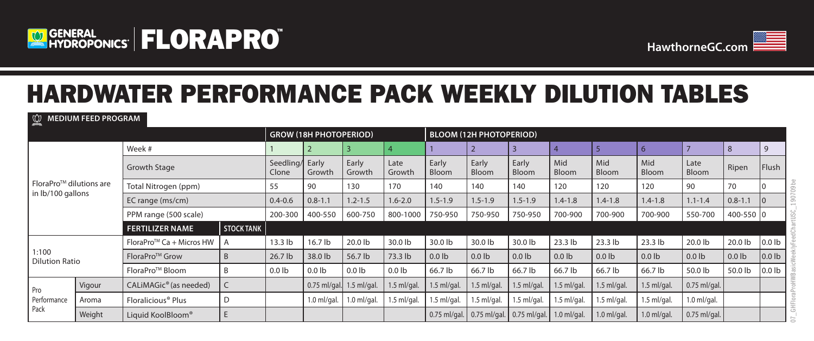

**MEDIUM FEED PROGRAM** 



07\_GHFloraProHWBasicWeeklyFeedChartUSC\_190709be

\_GHFloraProHWBasicWeeklyFeedChartUSC

 $190709$ be

## HARDWATER PERFORMANCE PACK WEEKLY DILUTION TABLES

|                                                           | $\mathbb{R}$ INEDIUM FEED PROGRAM |                                    |                   |                          |                               |                   |                   |                |                                |                             |               |                     |                     |                |                   |                   |
|-----------------------------------------------------------|-----------------------------------|------------------------------------|-------------------|--------------------------|-------------------------------|-------------------|-------------------|----------------|--------------------------------|-----------------------------|---------------|---------------------|---------------------|----------------|-------------------|-------------------|
|                                                           |                                   |                                    |                   |                          | <b>GROW (18H PHOTOPERIOD)</b> |                   |                   |                | <b>BLOOM (12H PHOTOPERIOD)</b> |                             |               |                     |                     |                |                   |                   |
| FloraPro <sup>TM</sup> dilutions are<br>in lb/100 gallons |                                   | Week #                             |                   |                          |                               |                   |                   |                |                                |                             |               |                     | $6\overline{6}$     |                | 8                 | 9                 |
|                                                           |                                   | Growth Stage                       |                   | Seedling/ Early<br>Clone | Growth                        | Early<br>Growth   | Late<br>Growth    | Early<br>Bloom | Early<br>Bloom                 | Early<br>Bloom              | Mid<br>Bloom  | Mid<br><b>Bloom</b> | Mid<br><b>Bloom</b> | Late<br>Bloom  | Ripen             | Flush             |
|                                                           |                                   | Total Nitrogen (ppm)               |                   | 55                       | 90                            | 130               | 170               | 140            | 140                            | 140                         | 120           | 120                 | 120                 | 90             | 70                |                   |
|                                                           |                                   | EC range (ms/cm)                   |                   | $0.4 - 0.6$              | $0.8 - 1.1$                   | $1.2 - 1.5$       | $1.6 - 2.0$       | $1.5 - 1.9$    | $1.5 - 1.9$                    | $1.5 - 1.9$                 | $1.4 - 1.8$   | $1.4 - 1.8$         | $1.4 - 1.8$         | $1.1 - 1.4$    | $0.8 - 1.1$       |                   |
|                                                           |                                   | PPM range (500 scale)              |                   | 200-300                  | 400-550                       | 600-750           | 800-1000          | 750-950        | 750-950                        | 750-950                     | 700-900       | 700-900             | 700-900             | 550-700        | 400-550 0         |                   |
|                                                           |                                   | <b>FERTILIZER NAME</b>             | <b>STOCK TANK</b> |                          |                               |                   |                   |                |                                |                             |               |                     |                     |                |                   |                   |
|                                                           |                                   | FloraPro™ Ca + Micros HW           |                   | 13.3 <sub>lb</sub>       | 16.7 lb                       | 20.0 lb           | 30.0 lb           | 30.0 lb        | 30.0 lb                        | 30.0 lb                     | $23.3$ lb     | 23.3 lb             | $23.3$ lb           | 20.0 lb        | 20.0 lb           | 0.0 <sub>1b</sub> |
| 1:100<br><b>Dilution Ratio</b>                            |                                   | FloraPro <sup>™</sup> Grow         | B                 | 26.7 lb                  | 38.0 lb                       | 56.7 lb           | 73.3 lb           | $0.0$ lb       | 0.0 <sub>1b</sub>              | 0.0 <sub>1b</sub>           | $0.0$ lb      | 0.0 <sub>1b</sub>   | 0.0 <sub>1b</sub>   | $0.0$ lb       | 0.0 <sub>1b</sub> | 0.0 <sub>1b</sub> |
|                                                           |                                   | FloraPro <sup>™</sup> Bloom        | -B                | $0.0$ lb                 | 0.0 <sub>1b</sub>             | 0.0 <sub>1b</sub> | 0.0 <sub>1b</sub> | 66.7 lb        | 66.7 lb                        | 66.7 lb                     | 66.7 lb       | 66.7 lb             | 66.7 lb             | 50.0 lb        | 50.0 lb           | 0.0 <sub>1b</sub> |
| Pro<br>Performance<br>Pack                                | Vigour                            | CALIMAGic <sup>®</sup> (as needed) |                   |                          | 0.75 ml/gal. 1.5 ml/gal.      |                   | $1.5$ ml/gal.     | $1.5$ ml/gal.  | $1.5$ ml/gal.                  | $1.5$ ml/gal.               | $1.5$ ml/gal. | $1.5$ ml/gal.       | $1.5$ ml/gal.       | $0.75$ ml/gal. |                   |                   |
|                                                           | Aroma                             | Floralicious <sup>®</sup> Plus     | D                 |                          | $1.0$ ml/gal.                 | $1.0$ ml/gal.     | $1.5$ ml/gal.     | $1.5$ ml/gal.  | $1.5$ ml/gal.                  | $1.5$ ml/gal.               | $1.5$ ml/gal. | $1.5$ ml/gal.       | $1.5$ ml/gal.       | $1.0$ ml/gal.  |                   |                   |
|                                                           | Weight                            | E<br>Liquid KoolBloom®             |                   |                          |                               |                   |                   | $0.75$ ml/gal. |                                | $0.75$ ml/gal. 0.75 ml/gal. | $1.0$ ml/gal. | $1.0$ ml/gal.       | $1.0$ ml/gal.       | $0.75$ ml/gal. |                   |                   |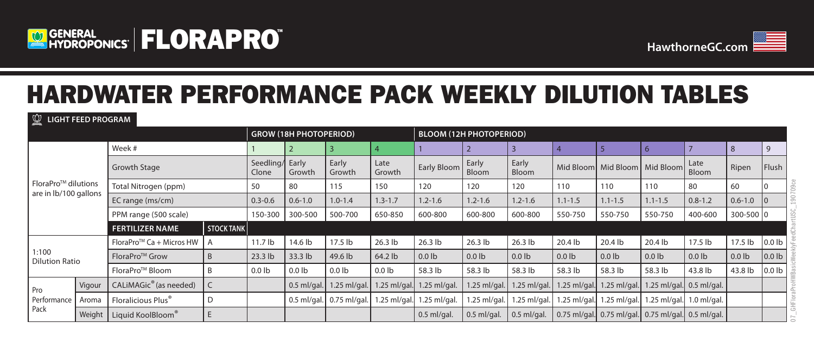



# HARDWATER PERFORMANCE PACK WEEKLY DILUTION TABLES

**LIGHT FEED PROGRAM**

|                                                           |        |                                    | <b>GROW (18H PHOTOPERIOD)</b> |                    |                 |                              | <b>BLOOM (12H PHOTOPERIOD)</b> |                   |                       |                   |                |                               |                                                            |                            |                   |                   |
|-----------------------------------------------------------|--------|------------------------------------|-------------------------------|--------------------|-----------------|------------------------------|--------------------------------|-------------------|-----------------------|-------------------|----------------|-------------------------------|------------------------------------------------------------|----------------------------|-------------------|-------------------|
| FloraPro <sup>TM</sup> dilutions<br>are in lb/100 gallons |        | Week #                             |                               |                    |                 | 4                            |                                |                   | 3                     |                   |                |                               |                                                            | 8                          | $\mathsf{q}$      |                   |
|                                                           |        | Growth Stage                       | Seedling/ Early<br>Clone      | Growth             | Early<br>Growth | Late<br>Growth               | Early Bloom                    | Early<br>Bloom    | Early<br><b>Bloom</b> |                   |                | Mid Bloom Mid Bloom Mid Bloom | Late<br>Bloom                                              | Ripen                      | Flush             |                   |
|                                                           |        | Total Nitrogen (ppm)               |                               | 50                 | 80              | 115                          | 150                            | 120               | 120                   | 120               | 110            | 110                           | 110                                                        | 80                         | 60                |                   |
|                                                           |        | EC range (ms/cm)                   |                               | $0.3 - 0.6$        | $0.6 - 1.0$     | $1.0 - 1.4$                  | $1.3 - 1.7$                    | $1.2 - 1.6$       | $1.2 - 1.6$           | $1.2 - 1.6$       | $1.1 - 1.5$    | $1.1 - 1.5$                   | $1.1 - 1.5$                                                | $0.8 - 1.2$                | $0.6 - 1.0$       |                   |
|                                                           |        | PPM range (500 scale)              |                               | 150-300            | 300-500         | 500-700                      | 650-850                        | 600-800           | 600-800               | 600-800           | 550-750        | 550-750                       | 550-750                                                    | 400-600                    | $300 - 500$ 0     |                   |
|                                                           |        | <b>FERTILIZER NAME</b>             | STOCK TANK                    |                    |                 |                              |                                |                   |                       |                   |                |                               |                                                            |                            |                   |                   |
|                                                           |        | FloraPro™ Ca + Micros HW           |                               | 11.7 <sub>lb</sub> | 14.6 lb         | 17.5 lb                      | $26.3$ lb                      | $26.3$ lb         | $26.3$ lb             | $26.3$ lb         | 20.4 lb        | 20.4 lb                       | 20.4 lb                                                    | 17.5 lb                    | 17.5 lb           | 0.0 <sub>lb</sub> |
| 1:100<br><b>Dilution Ratio</b>                            |        | FloraPro <sup>™</sup> Grow         | B                             | 23.3 lb            | 33.3 lb         | 49.6 lb                      | 64.2 lb                        | 0.0 <sub>lb</sub> | 0.0 <sub>lb</sub>     | 0.0 <sub>1b</sub> | $0.0$ lb       | 0.0 <sub>1b</sub>             | 0.0 <sub>lb</sub>                                          | 0.0 <sub>lb</sub>          | 0.0 <sub>1b</sub> | $\vert$ 0.0 lb    |
|                                                           |        | FloraPro <sup>™</sup> Bloom        | B                             | 0.0 <sub>1b</sub>  | $0.0$ lb        | 0.0 <sub>1b</sub>            | 0.0 <sub>1b</sub>              | 58.3 lb           | 58.3 lb               | 58.3 lb           | 58.3 lb        | 58.3 lb                       | 58.3 lb                                                    | 43.8 lb                    | 43.8 lb           | 0.0 <sub>lb</sub> |
| Pro<br>Performance<br>Pack                                | Vigour | CALIMAGic <sup>®</sup> (as needed) |                               |                    | $0.5$ ml/gal.   | 1.25 ml/gal.                 | $1.25 \text{ ml/gal.}$         | $1.25$ ml/gal.    | 1.25 ml/gal.          | 1.25 ml/gal.      | $1.25$ ml/gal. | 1.25 ml/gal.                  | 1.25 ml/gal. $0.5$ ml/gal.                                 |                            |                   |                   |
|                                                           | Aroma  | Floralicious Plus <sup>®</sup>     | D                             |                    |                 | $0.5$ ml/gal. $0.75$ ml/gal. | .25 ml/gal.                    | 1.25 ml/gal.      | 1.25 ml/gal.          | 1.25 ml/gal.      | $1.25$ ml/gal. | $1.25$ ml/gal.                |                                                            | 1.25 ml/gal. $1.0$ ml/gal. |                   |                   |
|                                                           | Weight | Liquid KoolBloom®                  | E                             |                    |                 |                              |                                | $0.5$ ml/gal      | $0.5$ ml/gal.         | $0.5$ ml/gal.     |                |                               | $0.75$ ml/gal. $0.75$ ml/gal. $0.75$ ml/gal. $0.5$ ml/gal. |                            |                   |                   |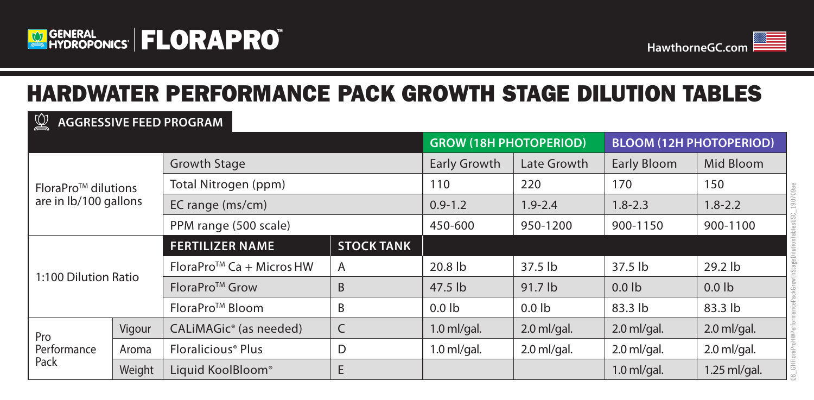

**AGGRESSIVE FEED PROGRAM**



### HARDWATER PERFORMANCE PACK GROWTH STAGE DILUTION TABLES

| $\mathbb{\underline{\times}}$ - AUURESSIVE FEED PRUURAIVI |        |                                      |                   |                               |               |                                |                   |  |  |  |  |
|-----------------------------------------------------------|--------|--------------------------------------|-------------------|-------------------------------|---------------|--------------------------------|-------------------|--|--|--|--|
|                                                           |        |                                      |                   | <b>GROW (18H PHOTOPERIOD)</b> |               | <b>BLOOM (12H PHOTOPERIOD)</b> |                   |  |  |  |  |
| FloraPro <sup>™</sup> dilutions<br>are in lb/100 gallons  |        | <b>Growth Stage</b>                  |                   | <b>Early Growth</b>           | Late Growth   | <b>Early Bloom</b>             | Mid Bloom         |  |  |  |  |
|                                                           |        | Total Nitrogen (ppm)                 |                   | 110                           | 220           | 170                            | 150               |  |  |  |  |
|                                                           |        | EC range (ms/cm)                     |                   | $0.9 - 1.2$                   | $1.9 - 2.4$   | $1.8 - 2.3$                    | $1.8 - 2.2$       |  |  |  |  |
|                                                           |        | PPM range (500 scale)                |                   | 450-600                       | 950-1200      | 900-1150                       | 900-1100          |  |  |  |  |
| 1:100 Dilution Ratio                                      |        | <b>FERTILIZER NAME</b>               | <b>STOCK TANK</b> |                               |               |                                |                   |  |  |  |  |
|                                                           |        | FloraPro <sup>™</sup> Ca + Micros HW | A                 | 20.8 lb                       | $37.5$ lb     | $37.5$ lb                      | 29.2 lb           |  |  |  |  |
|                                                           |        | FloraPro <sup>™</sup> Grow           | B                 | 47.5 lb                       | 91.7 lb       | $0.0$ lb                       | 0.0 <sub>1b</sub> |  |  |  |  |
|                                                           |        | FloraPro <sup>™</sup> Bloom          | B                 | $0.0$ lb                      | $0.0$ lb      | 83.3 lb                        | 83.3 lb           |  |  |  |  |
| Pro<br>Performance<br>Pack                                | Vigour | CALIMAGic <sup>®</sup> (as needed)   | $\mathsf C$       | $1.0$ ml/gal.                 | $2.0$ ml/gal. | $2.0$ ml/gal.                  | $2.0$ ml/gal.     |  |  |  |  |
|                                                           | Aroma  | Floralicious <sup>®</sup> Plus       | D                 | $1.0$ ml/gal.                 | $2.0$ ml/gal. | $2.0$ ml/gal.                  | $2.0$ ml/gal.     |  |  |  |  |
|                                                           | Weight | Liquid KoolBloom®                    | E                 |                               |               | $1.0$ ml/gal.                  | 1.25 ml/gal.      |  |  |  |  |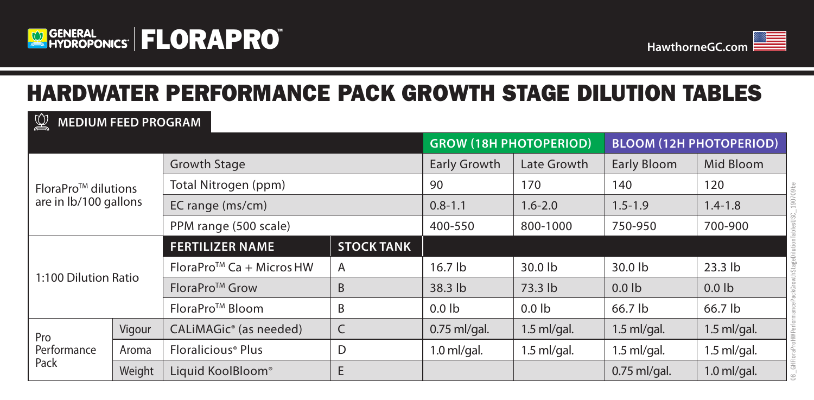



## HARDWATER PERFORMANCE PACK GROWTH STAGE DILUTION TABLES

#### **GROW (18H PHOTOPERIOD) BLOOM (12H PHOTOPERIOD)** FloraProTM dilutions are in lb/100 gallons Growth Stage **Early Growth Late Growth Early Bloom** Mid Bloom Total Nitrogen (ppm) 90 170 140 120 EC range (ms/cm) 0.8-1.1 1.6-2.0 1.5-1.9 1.4-1.8 PPM range (500 scale)  $\vert$  400-550  $\vert$  800-1000  $\vert$  750-950  $\vert$  700-900 1:100 Dilution Ratio **FERTILIZER NAME STOCK TANK** FloraProTM Ca + MicrosHW A 16.7 lb 30.0 lb 30.0 lb 23.3 lb FloraPro<sup>TM</sup> Grow  $\overline{AB}$   $\overline{AB}$   $\overline{AB}$   $\overline{AB}$   $\overline{AB}$   $\overline{AB}$   $\overline{BD}$   $\overline{BD}$   $\overline{BD}$   $\overline{BD}$   $\overline{BD}$   $\overline{BD}$   $\overline{BD}$   $\overline{BD}$   $\overline{BD}$   $\overline{BD}$   $\overline{BD}$   $\overline{BD}$   $\overline{BD}$   $\overline{BD}$   $\overline{BD}$   $\overline{BD}$   $\overline{$ FloraProTM Bloom B 0.0 lb 0.0 lb 66.7 lb 66.7 lb Pro Performance Pack Vigour CALiMAGic® (as needed) C 0.75 ml/gal. 1.5 ml/gal. 1.5 ml/gal. 1.5 ml/gal. Aroma Floralicious® Plus  $\vert D \vert$  1.0 ml/gal. 1.5 ml/gal. 1.5 ml/gal. 1.5 ml/gal. 1.5 ml/gal. Weight | Liquid KoolBloom® | E 1.0 ml/gal. | 0.75 ml/gal. | 1.0 ml/gal. **MEDIUM FEED PROGRAM**